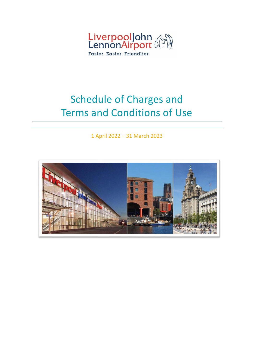

# Schedule of Charges and Terms and Conditions of Use

1 April 2022 – 31 March 2023

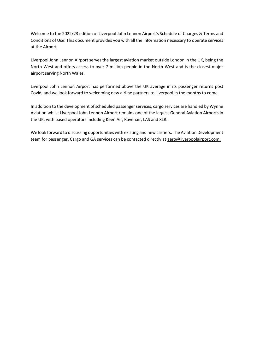Welcome to the 2022/23 edition of Liverpool John Lennon Airport's Schedule of Charges & Terms and Conditions of Use. This document provides you with all the information necessary to operate services at the Airport.

Liverpool John Lennon Airport serves the largest aviation market outside London in the UK, being the North West and offers access to over 7 million people in the North West and is the closest major airport serving North Wales.

Liverpool John Lennon Airport has performed above the UK average in its passenger returns post Covid, and we look forward to welcoming new airline partners to Liverpool in the months to come.

In addition to the development of scheduled passenger services, cargo services are handled by Wynne Aviation whilst Liverpool John Lennon Airport remains one of the largest General Aviation Airports in the UK, with based operators including Keen Air, Ravenair, LAS and XLR.

We look forward to discussing opportunities with existing and new carriers. The Aviation Development team for passenger, Cargo and GA services can be contacted directly at [aero@liverpoolairport.com.](mailto:aero@liverpoolairport.com)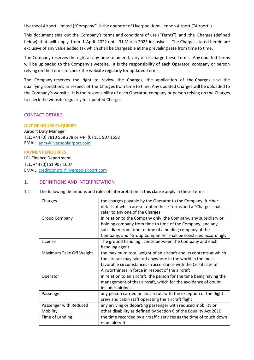Liverpool Airport Limited ("Company") is the operator of Liverpool John Lennon Airport ("Airport").

This document sets out the Company's terms and conditions of use ("Terms") and the Charges (defined below) that will apply from 1 April 2022 until 31 March 2023 inclusive. The Charges stated herein are exclusive of any value added tax which shall be chargeable at the prevailing rate from time to time.

The Company reserves the right at any time to amend, vary or discharge these Terms. Any updated Terms will be uploaded to the Company's website. It is the responsibility of each Operator, company or person relying on the Terms to check the website regularly for updated Terms.

The Company reserves the right to review the Charges, the application of the Charges and the qualifying conditions in respect of the Charges from time to time. Any updated Charges will be uploaded to the Company's website. It is the responsibility of each Operator, company or person relying on the Charges to check the website regularly for updated Charges.

# CONTACT DETAILS

## **OUT OF HOURS ENQUIRIES**

Airport Duty Manager TEL: +44 (0) 7810 558 278 or +44 (0) 151 907 1558 EMAIL[: adm@liverpoolairport.com](mailto:adm@liverpoolairport.com)

**PAYMENT ENQUIRIES** LPL Finance Department TEL: +44 (0)151 907 1607 EMAIL[: creditcontrol@liverpoolairport.com](mailto:creditcontrol@liverpoolairport.com)

## 1. DEFINITIONS AND INTERPRETATION

1.1 The following definitions and rules of interpretation in this clause apply in these Terms.

| Charges                            | the charges payable by the Operator to the Company, further<br>details of which are set out in these Terms and a "Charge" shall<br>refer to any one of the Charges                                                                                         |
|------------------------------------|------------------------------------------------------------------------------------------------------------------------------------------------------------------------------------------------------------------------------------------------------------|
| <b>Group Company</b>               | in relation to the Company only, the Company, any subsidiary or<br>holding company from time to time of the Company, and any<br>subsidiary from time to time of a holding company of the<br>Company, and "Group Companies" shall be construed accordingly. |
| License                            | The ground handling license between the Company and each<br>handling agent                                                                                                                                                                                 |
| Maximum Take Off Weight            | the maximum total weight of an aircraft and its contents at which<br>the aircraft may take off anywhere in the world in the most<br>favorable circumstances in accordance with the Certificate of<br>Airworthiness in force in respect of the aircraft     |
| Operator                           | in relation to an aircraft, the person for the time being having the<br>management of that aircraft, which for the avoidance of doubt<br>includes airlines                                                                                                 |
| Passenger                          | any person carried on an aircraft with the exception of the flight<br>crew and cabin staff operating the aircraft flight                                                                                                                                   |
| Passenger with Reduced<br>Mobility | any arriving or departing passenger with reduced mobility or<br>other disability as defined by Section 6 of the Equality Act 2010                                                                                                                          |
| Time of Landing                    | the time recorded by air traffic services as the time of touch down<br>of an aircraft                                                                                                                                                                      |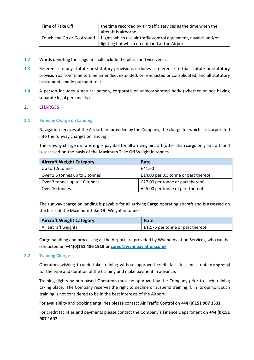| Time of Take Off          | the time recorded by air traffic services as the time when the  |
|---------------------------|-----------------------------------------------------------------|
|                           | aircraft is airborne                                            |
| Touch and Go or Go Around | flights which use air traffic control equipment, navaids and/or |
|                           | lighting but which do not land at the Airport                   |

- 1.2 Words denoting the singular shall include the plural and vice versa.
- 1.3 Reference to any statute or statutory provisions includes a reference to that statute or statutory provision as from time to time amended, extended, or re-enacted or consolidated, and all statutory instruments made pursuant to it.
- 1.4 A person includes a natural person, corporate or unincorporated body (whether or not having separate legal personality).

## 2. CHARGES

## **2.1 Runway Charge on Landing**

Navigation services at the Airport are provided by the Company, the charge for which is incorporated into the runway charges on landing.

The runway charge on landing is payable for all arriving aircraft (other than cargo only aircraft) and is assessed on the basis of the Maximum Take Off Weight in tonnes.

| <b>Aircraft Weight Category</b> | Rate                                 |
|---------------------------------|--------------------------------------|
| Up to 1.5 tonnes                | £41.60                               |
| Over 1.5 tonnes up to 3 tonnes  | £14.00 per 0.5 tonne or part thereof |
| Over 3 tonnes up to 10 tonnes   | £27.00 per tonne or part thereof     |
| Over 10 tonnes                  | £25.00 per tonne of part thereof     |

The runway charge on landing is payable for all arriving **Cargo** operating aircraft and is assessed on the basis of the Maximum Take-Off Weight in tonnes.

| <b>Aircraft Weight Category</b> | Rate                               |
|---------------------------------|------------------------------------|
| All aircraft weights            | $£12.75$ per tonne or part thereof |

Cargo handling and processing at the Airport are provided by Wynne Aviation Services, who can be contacted on **+44(0)151 486 1919 or [cargo@wynneaviation.co.uk](mailto:cargo@wynneaviation.co.uk)**

# **2.2 Training Charge**

Operators wishing to undertake training without approved credit facilities, must obtain approval for the type and duration of the training and make payment in advance.

Training flights by non-based Operators must be approved by the Company prior to such training taking place. The Company reserves the right to decline or suspend training if, in its opinion, such training is not considered to be in the best interests of the Airport.

For availability and booking enquiries please contact Air Traffic Control on **+44 (0)151 907 1531**

For credit facilities and payments please contact the Company's Finance Department on **+44 (0)151 907 1607**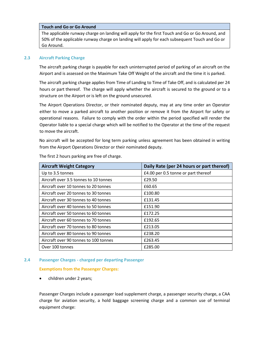## **Touch and Go or Go Around**

The applicable runway charge on landing will apply for the first Touch and Go or Go Around, and 50% of the applicable runway charge on landing will apply for each subsequent Touch and Go or Go Around.

## **2.3 Aircraft Parking Charge**

The aircraft parking charge is payable for each uninterrupted period of parking of an aircraft on the Airport and is assessed on the Maximum Take Off Weight of the aircraft and the time it is parked.

The aircraft parking charge applies from Time of Landing to Time of Take Off, and is calculated per 24 hours or part thereof. The charge will apply whether the aircraft is secured to the ground or to a structure on the Airport or is left on the ground unsecured.

The Airport Operations Director, or their nominated deputy, may at any time order an Operator either to move a parked aircraft to another position or remove it from the Airport for safety or operational reasons. Failure to comply with the order within the period specified will render the Operator liable to a special charge which will be notified to the Operator at the time of the request to move the aircraft.

No aircraft will be accepted for long term parking unless agreement has been obtained in writing from the Airport Operations Director or their nominated deputy.

| <b>Aircraft Weight Category</b>       | Daily Rate (per 24 hours or part thereof) |
|---------------------------------------|-------------------------------------------|
| Up to 3.5 tonnes                      | £4.00 per 0.5 tonne or part thereof       |
| Aircraft over 3.5 tonnes to 10 tonnes | £29.50                                    |
| Aircraft over 10 tonnes to 20 tonnes  | £60.65                                    |
| Aircraft over 20 tonnes to 30 tonnes  | £100.80                                   |
| Aircraft over 30 tonnes to 40 tonnes  | £131.45                                   |
| Aircraft over 40 tonnes to 50 tonnes  | £151.90                                   |
| Aircraft over 50 tonnes to 60 tonnes  | £172.25                                   |
| Aircraft over 60 tonnes to 70 tonnes  | £192.65                                   |
| Aircraft over 70 tonnes to 80 tonnes  | £213.05                                   |
| Aircraft over 80 tonnes to 90 tonnes  | £238.20                                   |
| Aircraft over 90 tonnes to 100 tonnes | £263.45                                   |
| Over 100 tonnes                       | £285.00                                   |

The first 2 hours parking are free of charge.

## **2.4 Passenger Charges - charged per departing Passenger**

**Exemptions from the Passenger Charges:** 

• children under 2 years;

Passenger Charges include a passenger load supplement charge, a passenger security charge, a CAA charge for aviation security, a hold baggage screening charge and a common use of terminal equipment charge: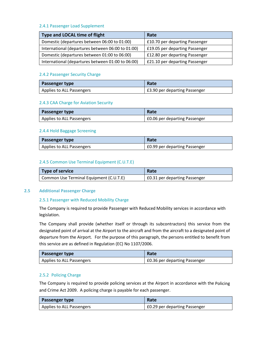## 2.4.1 Passenger Load Supplement

| Type and LOCAL time of flight                     | Rate                           |
|---------------------------------------------------|--------------------------------|
| Domestic (departures between 06:00 to 01:00)      | £10.70 per departing Passenger |
| International (departures between 06:00 to 01:00) | £19.05 per departing Passenger |
| Domestic (departures between 01:00 to 06:00)      | £12.80 per departing Passenger |
| International (departures between 01:00 to 06:00) | £21.10 per departing Passenger |

## 2.4.2 Passenger Security Charge

| <b>Passenger type</b>     | Rate                          |
|---------------------------|-------------------------------|
| Applies to ALL Passengers | £3.90 per departing Passenger |

## 2.4.3 CAA Charge for Aviation Security

| <b>Passenger type</b>     | Rate                          |
|---------------------------|-------------------------------|
| Applies to ALL Passengers | E0.06 per departing Passenger |

## 2.4.4 Hold Baggage Screening

| <b>Passenger type</b>     | Rate                                 |
|---------------------------|--------------------------------------|
| Applies to ALL Passengers | <b>EO.99 per departing Passenger</b> |

## 2.4.5 Common Use Terminal Equipment (C.U.T.E)

| Type of service                         | Rate                          |
|-----------------------------------------|-------------------------------|
| Common Use Terminal Equipment (C.U.T.E) | £0.31 per departing Passenger |

## **2.5 Additional Passenger Charge**

## 2.5.1 Passenger with Reduced Mobility Charge

The Company is required to provide Passenger with Reduced Mobility services in accordance with legislation.

The Company shall provide (whether itself or through its subcontractors) this service from the designated point of arrival at the Airport to the aircraft and from the aircraft to a designated point of departure from the Airport. For the purpose of this paragraph, the persons entitled to benefit from this service are as defined in Regulation (EC) No 1107/2006.

| <b>Passenger type</b>     | Rate                                 |
|---------------------------|--------------------------------------|
| Applies to ALL Passengers | <b>£0.36 per departing Passenger</b> |

# 2.5.2 Policing Charge

The Company is required to provide policing services at the Airport in accordance with the Policing and Crime Act 2009. A policing charge is payable for each passenger.

| <b>Passenger type</b>     | Rate                          |
|---------------------------|-------------------------------|
| Applies to ALL Passengers | £0.29 per departing Passenger |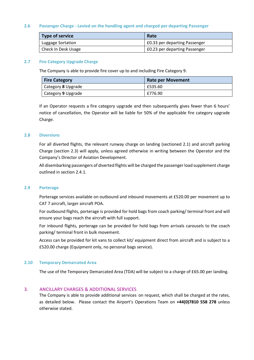## **2.6 Passenger Charge - Levied on the handling agent and charged per departing Passenger**

| Type of service     | Rate                                 |
|---------------------|--------------------------------------|
| Luggage Sortation   | <b>EO.33 per departing Passenger</b> |
| Check In Desk Usage | <b>£0.23 per departing Passenger</b> |

#### **2.7 Fire Category Upgrade Charge**

The Company is able to provide fire cover up to and including Fire Category 9.

| <b>Fire Category</b> | <b>Rate per Movement</b> |
|----------------------|--------------------------|
| Category 8 Upgrade   | £535.60                  |
| Category 9 Upgrade   | £776.90                  |

If an Operator requests a fire category upgrade and then subsequently gives fewer than 6 hours' notice of cancellation, the Operator will be liable for 50% of the applicable fire category upgrade Charge.

#### **2.8 Diversions**

For all diverted flights, the relevant runway charge on landing (sectioned 2.1) and aircraft parking Charge (section 2.3) will apply, unless agreed otherwise in writing between the Operator and the Company's Director of Aviation Development.

All disembarking passengers of diverted flights will be charged the passenger load supplement charge outlined in section 2.4.1.

#### **2.9 Porterage**

Porterage services available on outbound and inbound movements at £520.00 per movement up to CAT 7 aircraft, larger aircraft POA.

For outbound flights, porterage is provided for hold bags from coach parking/ terminal front and will ensure your bags reach the aircraft with full support.

For inbound flights, porterage can be provided for hold bags from arrivals carousels to the coach parking/ terminal front in bulk movement.

Access can be provided for kit vans to collect kit/ equipment direct from aircraft and is subject to a £520.00 charge (Equipment only, no personal bags service).

## **2.10 Temporary Demarcated Area**

The use of the Temporary Demarcated Area (TDA) will be subject to a charge of £65.00 per landing.

## 3. ANCILLARY CHARGES & ADDITIONAL SERVICES

The Company is able to provide additional services on request, which shall be charged at the rates, as detailed below. Please contact the Airport's Operations Team on **+44(0)7810 558 278** unless otherwise stated.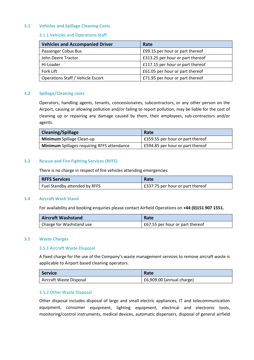## **3.1 Vehicles and Spillage Cleaning Costs**

## 3.1.1 Vehicles and Operations Staff

| <b>Vehicles and Accompanied Driver</b> | Rate                             |
|----------------------------------------|----------------------------------|
| Passenger Cobus Bus                    | £99.15 per hour or part thereof  |
| John Deere Tractor                     | £313.25 per hour or part thereof |
| Hi-Loader                              | £117.15 per hour or part thereof |
| Fork Lift                              | £61.05 per hour or part thereof  |
| Operations Staff / Vehicle Escort      | £71.95 per hour or part thereof  |

## **3.2 Spillage/Cleaning costs**

Operators, handling agents, tenants, concessionaires, subcontractors, or any other person on the Airport, causing or allowing pollution and/or failing to report pollution, may be liable for the cost of cleaning up or repairing any damage caused by them, their employees, sub-contractors and/or agents.

| <b>Cleaning/Spillage</b>                           | Rate                             |
|----------------------------------------------------|----------------------------------|
| Minimum Spillage Clean-up                          | £359.55 per hour or part thereof |
| <b>Minimum</b> Spillages requiring RFFS attendance | £594.85 per hour or part thereof |

## **3.3 Rescue and Fire Fighting Services (RFFS)**

There is no charge in respect of fire vehicles attending emergencies.

| <b>RFFS Services</b>          | Rate                             |
|-------------------------------|----------------------------------|
| Fuel Standby attended by RFFS | E337.75 per hour or part thereof |

#### **3.4 Aircraft Wash Stand**

For availability and booking enquiries please contact Airfield Operations on **+44 (0)151 907 1551.**

| <b>Aircraft Washstand</b> | Rate                            |
|---------------------------|---------------------------------|
| Charge for Washstand use  | E67.55 per hour or part thereof |

#### **3.5 Waste Charges**

#### 3.5.1 Aircraft Waste Disposal

A fixed charge for the use of the Company's waste management services to remove aircraft waste is applicable to Airport based cleaning operators.

| <b>Service</b>          | Rate                              |
|-------------------------|-----------------------------------|
| Aircraft Waste Disposal | $\vert$ £6,909.00 (annual charge) |

## 3.5.2 Other Waste Disposal

Other disposal includes disposal of large and small electric appliances, IT and telecommunication equipment, consumer equipment, lighting equipment, electrical and electronic tools, monitoring/control instruments, medical devices, automatic dispensers, disposal of general airfield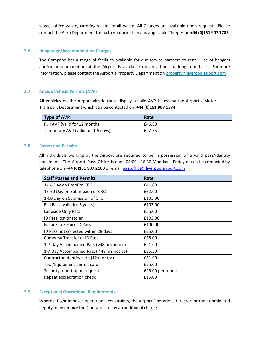waste, office waste, catering waste, retail waste. All Charges are available upon request. Please contact the Aero Department for further information and applicable Charges on **+44 (0)151 907 1705**.

#### **3.6 Hangarage/Accommodation Charges**

The Company has a range of facilities available for our service partners to rent. Use of hangars and/or accommodation at the Airport is available on an ad-hoc or long term basis. For more information, please contact the Airport's Property Department o[n property@liverpoolairport.com](mailto:property@liverpoolairport.com)

## **3.7 Airside Vehicle Permits (AVP)**

All vehicles on the Airport airside must display a valid AVP issued by the Airport's Motor Transport Department which can be contacted on: **+44 (0)151 907 1574.**

| Type of AVP                        | Rate   |
|------------------------------------|--------|
| Full AVP (valid for 12 months)     | £46.80 |
| Temporary AVP (valid for 1-5 days) | £22.35 |

#### **3.8 Passes and Permits**

All individuals working at the Airport are required to be in possession of a valid pass/identity documents. The Airport Pass Office is open 08:00 - 16:30 Monday – Friday or can be contacted by telephone on **+44 (0)151 907 2103** or emai[l passoffice@liverpoolairport.com](mailto:passoffice@liverpoolairport.com)

| <b>Staff Passes and Permits</b>            | Rate              |
|--------------------------------------------|-------------------|
| 1-14 Day on Proof of CRC                   | £41.00            |
| 15-60 Day on Submission of CRC             | £62.00            |
| 1-60 Day on Submission of CRC              | £103.00           |
| Full Pass (valid for 5 years)              | £103.00           |
| Landside Only Pass                         | £55.00            |
| ID Pass lost or stolen                     | £103.00           |
| <b>Failure to Return ID Pass</b>           | £100.00           |
| ID Pass not collected within 28 days       | £25.00            |
| <b>Company Transfer of ID Pass</b>         | £58.00            |
| 1-7 Day Accompanied Pass (>48 hrs notice)  | £21.00            |
| 1-7 Day Accompanied Pass (< 48 hrs notice) | £35.50            |
| Contractor identity card (12 months)       | £51.00            |
| Tool/Equipment permit card                 | £25.00            |
| Security report upon request               | £25.00 per report |
| Repeat accreditation check                 | £15.00            |

## **3.9 Exceptional Operational Requirements**

Where a flight imposes operational constraints, the Airport Operations Director, or their nominated deputy, may require the Operator to pay an additional charge.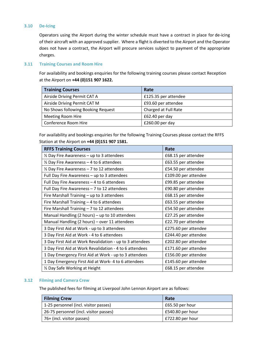## **3.10 De-Icing**

Operators using the Airport during the winter schedule must have a contract in place for de-icing of their aircraft with an approved supplier. Where a flight is diverted to the Airport and the Operator does not have a contract, the Airport will procure services subject to payment of the appropriate charges.

## **3.11 Training Courses and Room Hire**

For availability and bookings enquiries for the following training courses please contact Reception at the Airport on **+44 (0)151 907 1622.**

| <b>Training Courses</b>            | Rate                 |
|------------------------------------|----------------------|
| Airside Driving Permit CAT A       | £125.35 per attendee |
| Airside Driving Permit CAT M       | £93.60 per attendee  |
| No Shows following Booking Request | Charged at Full Rate |
| Meeting Room Hire                  | £62.40 per day       |
| Conference Room Hire               | £260.00 per day      |

For availability and bookings enquiries for the following Training Courses please contact the RFFS Station at the Airport on **+44 (0)151 907 1581.**

| <b>RFFS Training Courses</b>                             | Rate                 |
|----------------------------------------------------------|----------------------|
| $\frac{1}{2}$ Day Fire Awareness – up to 3 attendees     | £68.15 per attendee  |
| $\frac{1}{2}$ Day Fire Awareness – 4 to 6 attendees      | £63.55 per attendee  |
| $\frac{1}{2}$ Day Fire Awareness - 7 to 12 attendees     | £54.50 per attendee  |
| Full Day Fire Awareness - up to 3 attendees              | £109.00 per attendee |
| Full Day Fire Awareness - 4 to 6 attendees               | £99.85 per attendee  |
| Full Day Fire Awareness - 7 to 12 attendees              | £90.80 per attendee  |
| Fire Marshall Training - up to 3 attendees               | £68.15 per attendee  |
| Fire Marshall Training - 4 to 6 attendees                | £63.55 per attendee  |
| Fire Marshall Training $-7$ to 12 attendees              | £54.50 per attendee  |
| Manual Handling (2 hours) – up to 10 attendees           | £27.25 per attendee  |
| Manual Handling (2 hours) - over 11 attendees            | £22.70 per attendee  |
| 3 Day First Aid at Work - up to 3 attendees              | £275.60 per attendee |
| 3 Day First Aid at Work - 4 to 6 attendees               | £244.40 per attendee |
| 3 Day First Aid at Work Revalidation - up to 3 attendees | £202.80 per attendee |
| 3 Day First Aid at Work Revalidation - 4 to 6 attendees  | £171.60 per attendee |
| 1 Day Emergency First Aid at Work - up to 3 attendees    | £156.00 per attendee |
| 1 Day Emergency First Aid at Work-4 to 6 attendees       | £145.60 per attendee |
| 1/2 Day Safe Working at Height                           | £68.15 per attendee  |

#### **3.12 Filming and Camera Crew**

The published fees for filming at Liverpool John Lennon Airport are as follows:

| <b>Filming Crew</b>                    | Rate             |
|----------------------------------------|------------------|
| 1-25 personnel (incl. visitor passes)  | £65.50 per hour  |
| 26-75 personnel (incl. visitor passes) | £540.80 per hour |
| 76+ (incl. visitor passes)             | £722.80 per hour |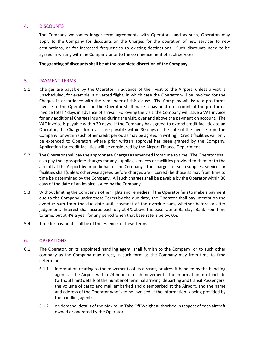## 4. DISCOUNTS

The Company welcomes longer term agreements with Operators, and as such, Operators may apply to the Company for discounts on the Charges for the operation of new services to new destinations, or for increased frequencies to existing destinations. Such discounts need to be agreed in writing with the Company prior to the commencement of such services.

**The granting of discounts shall be at the complete discretion of the Company.**

## 5. PAYMENT TERMS

- 5.1 Charges are payable by the Operator in advance of their visit to the Airport, unless a visit is unscheduled, for example, a diverted flight, in which case the Operator will be invoiced for the Charges in accordance with the remainder of this clause. The Company will issue a pro-forma invoice to the Operator, and the Operator shall make a payment on account of the pro-forma invoice total 7 days in advance of arrival. Following the visit, the Company will issue a VAT invoice for any additional Charges incurred during the visit, over and above the payment on account. The VAT invoice is payable within 30 days. If the Company has agreed to extend credit facilities to an Operator, the Charges for a visit are payable within 30 days of the date of the invoice from the Company (or within such other credit period as may be agreed in writing). Credit facilities will only be extended to Operators where prior written approval has been granted by the Company. Application for credit facilities will be considered by the Airport Finance Department.
- 5.2 The Operator shall pay the appropriate Charges as amended from time to time. The Operator shall also pay the appropriate charges for any supplies, services or facilities provided to them or to the aircraft at the Airport by or on behalf of the Company. The charges for such supplies, services or facilities shall (unless otherwise agreed before charges are incurred) be those as may from time to time be determined by the Company. All such charges shall be payable by the Operator within 30 days of the date of an invoice issued by the Company.
- 5.3 Without limiting the Company's other rights and remedies, if the Operator fails to make a payment due to the Company under these Terms by the due date, the Operator shall pay interest on the overdue sum from the due date until payment of the overdue sum, whether before or after judgement. Interest shall accrue each day at 4% above the base rate of Barclays Bank from time to time, but at 4% a year for any period when that base rate is below 0%.
- 5.4 Time for payment shall be of the essence of these Terms.

## 6. OPERATIONS

- 6.1 The Operator, or its appointed handling agent, shall furnish to the Company, or to such other company as the Company may direct, in such form as the Company may from time to time determine:
	- 6.1.1 information relating to the movements of its aircraft, or aircraft handled by the handling agent, at the Airport within 24 hours of each movement. The information must include (without limit) details of the number of terminal arriving, departing and transit Passengers, the volume of cargo and mail embarked and disembarked at the Airport, and the name and address of the Operator who is to be invoiced, if the information is being provided by the handling agent;
	- 6.1.2 on demand, details of the Maximum Take Off Weight authorised in respect of each aircraft owned or operated by the Operator;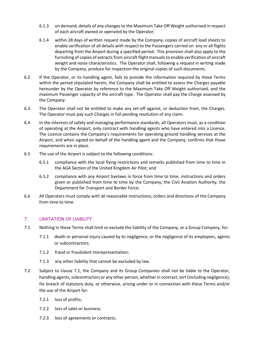- 6.1.3 on demand, details of any changes to the Maximum Take Off Weight authorised in respect of each aircraft owned or operated by the Operator;
- 6.1.4 within 28 days of written request made by the Company, copies of aircraft load sheets to enable verification of all details with respect to the Passengers carried on any or all flights departing from the Airport during a specified period. This provision shall also apply to the furnishing of copies of extracts from aircraft flight manuals to enable verification of aircraft weight and noise characteristics. The Operator shall, following a request in writing made by the Company, produce for inspection the original copies of such documents.
- 6.2 If the Operator, or its handling agent, fails to provide the information required by these Terms within the period stipulated herein, the Company shall be entitled to assess the Charges payable hereunder by the Operator by reference to the Maximum Take Off Weight authorised, and the maximum Passenger capacity of the aircraft type. The Operator shall pay the Charge assessed by the Company.
- 6.3 The Operator shall not be entitled to make any set-off against, or deduction from, the Charges. The Operator must pay such Charges in full pending resolution of any claim.
- 6.4 In the interests of safety and managing performance standards, all Operators must, as a condition of operating at the Airport, only contract with handling agents who have entered into a Licence. The Licence contains the Company's requirements for operating ground handling services at the Airport, and when signed on behalf of the handling agent and the Company, confirms that those requirements are in place.
- 6.5 The use of the Airport is subject to the following conditions:
	- 6.5.1 compliance with the local flying restrictions and remarks published from time to time in the AGA Section of the United Kingdom Air Pilot; and
	- 6.5.2 compliance with any Airport byelaws in force from time to time, instructions and orders given or published from time to time by the Company, the Civil Aviation Authority, the Department for Transport and Border Force.
- 6.6 All Operators must comply with all reasonable instructions, orders and directions of the Company from time to time.

## 7. LIMITATION OF LIABILITY

- 7.1 Nothing in these Terms shall limit or exclude the liability of the Company, or a Group Company, for:
	- 7.1.1 death or personal injury caused by its negligence, or the negligence of its employees, agents or subcontractors;
	- 7.1.2 fraud or fraudulent misrepresentation;
	- 7.1.3 any other liability that cannot be excluded by law.
- 7.2 Subject to clause 7.1, the Company and its Group Companies shall not be liable to the Operator, handling agents, subcontractors or any other person, whether in contract, tort (including negligence), for breach of statutory duty, or otherwise, arising under or in connection with these Terms and/or the use of the Airport for:
	- 7.2.1 loss of profits;
	- 7.2.2 loss of sales or business;
	- 7.2.3 loss of agreements or contracts;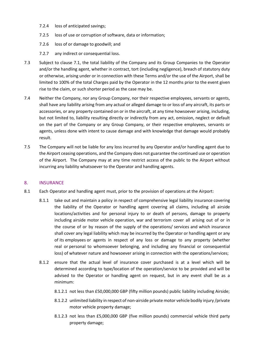- 7.2.4 loss of anticipated savings;
- 7.2.5 loss of use or corruption of software, data or information;
- 7.2.6 loss of or damage to goodwill; and
- 7.2.7 any indirect or consequential loss.
- 7.3 Subject to clause 7.1, the total liability of the Company and its Group Companies to the Operator and/or the handling agent, whether in contract, tort (including negligence), breach of statutory duty or otherwise, arising under or in connection with these Terms and/or the use of the Airport, shall be limited to 100% of the total Charges paid by the Operator in the 12 months prior to the event given rise to the claim, or such shorter period as the case may be.
- 7.4 Neither the Company, nor any Group Company, nor their respective employees, servants or agents, shall have any liability arising from any actual or alleged damage to or loss of any aircraft, its parts or accessories, or any property contained on or in the aircraft, at any time howsoever arising, including, but not limited to, liability resulting directly or indirectly from any act, omission, neglect or default on the part of the Company or any Group Company, or their respective employees, servants or agents, unless done with intent to cause damage and with knowledge that damage would probably result.
- 7.5 The Company will not be liable for any loss incurred by any Operator and/or handling agent due to the Airport ceasing operations, and the Company does not guarantee the continued use or operation of the Airport. The Company may at any time restrict access of the public to the Airport without incurring any liability whatsoever to the Operator and handling agents.

## 8. INSURANCE

- 8.1 Each Operator and handling agent must, prior to the provision of operations at the Airport:
	- 8.1.1 take out and maintain a policy in respect of comprehensive legal liability insurance covering the liability of the Operator or handling agent covering all claims, including all airside locations/activities and for personal injury to or death of persons, damage to property including airside motor vehicle operation, war and terrorism cover all arising out of or in the course of or by reason of the supply of the operations/ services and which insurance shall cover any legal liability which may be incurred by the Operator or handling agent or any of its employees or agents in respect of any loss or damage to any property (whether real or personal to whomsoever belonging, and including any financial or consequential loss) of whatever nature and howsoever arising in connection with the operations/services;
	- 8.1.2 ensure that the actual level of insurance cover purchased is at a level which will be determined according to type/location of the operation/service to be provided and will be advised to the Operator or handling agent on request, but in any event shall be as a minimum:
		- 8.1.2.1 not less than £50,000,000 GBP (fifty million pounds) public liability including Airside;
		- 8.1.2.2 unlimited liability in respect of non-airside private motor vehicle bodily injury /private motor vehicle property damage;
		- 8.1.2.3 not less than £5,000,000 GBP (five million pounds) commercial vehicle third party property damage;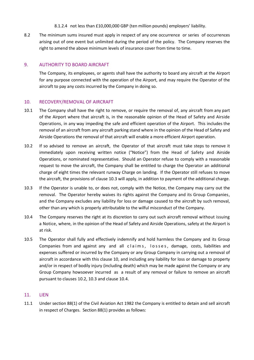- 8.1.2.4 not less than £10,000,000 GBP (ten million pounds) employers' liability.
- 8.2 The minimum sums insured must apply in respect of any one occurrence or series of occurrences arising out of one event but unlimited during the period of the policy. The Company reserves the right to amend the above minimum levels of insurance cover from time to time.

# 9. AUTHORITY TO BOARD AIRCRAFT

The Company, its employees, or agents shall have the authority to board any aircraft at the Airport for any purpose connected with the operation of the Airport, and may require the Operator of the aircraft to pay any costs incurred by the Company in doing so.

## 10. RECOVERY/REMOVAL OF AIRCRAFT

- 10.1 The Company shall have the right to remove, or require the removal of, any aircraft from any part of the Airport where that aircraft is, in the reasonable opinion of the Head of Safety and Airside Operations, in any way impeding the safe and efficient operation of the Airport. This includes the removal of an aircraft from any aircraft parking stand where in the opinion of the Head of Safety and Airside Operations the removal of that aircraft will enable a more efficient Airport operation.
- 10.2 If so advised to remove an aircraft, the Operator of that aircraft must take steps to remove it immediately upon receiving written notice ("Notice") from the Head of Safety and Airside Operations, or nominated representative. Should an Operator refuse to comply with a reasonable request to move the aircraft, the Company shall be entitled to charge the Operator an additional charge of eight times the relevant runway Charge on landing. If the Operator still refuses to move the aircraft, the provisions of clause 10.3 will apply, in addition to payment of the additional charge.
- 10.3 If the Operator is unable to, or does not, comply with the Notice, the Company may carry out the removal. The Operator hereby waives its rights against the Company and its Group Companies, and the Company excludes any liability for loss or damage caused to the aircraft by such removal, other than any which is properly attributable to the wilful misconduct of the Company.
- 10.4 The Company reserves the right at its discretion to carry out such aircraft removal without issuing a Notice, where, in the opinion of the Head of Safety and Airside Operations, safety at the Airport is at risk.
- 10.5 The Operator shall fully and effectively indemnify and hold harmless the Company and its Group Companies from and against any and all claims, losses, damage, costs, liabilities and expenses suffered or incurred by the Company or any Group Company in carrying out a removal of aircraft in accordance with this clause 10, and including any liability for loss or damage to property and/or in respect of bodily injury (including death) which may be made against the Company or any Group Company howsoever incurred as a result of any removal or failure to remove an aircraft pursuant to clauses 10.2, 10.3 and clause 10.4.

# 11. LIEN

11.1 Under section 88(1) of the Civil Aviation Act 1982 the Company is entitled to detain and sell aircraft in respect of Charges. Section 88(1) provides as follows: